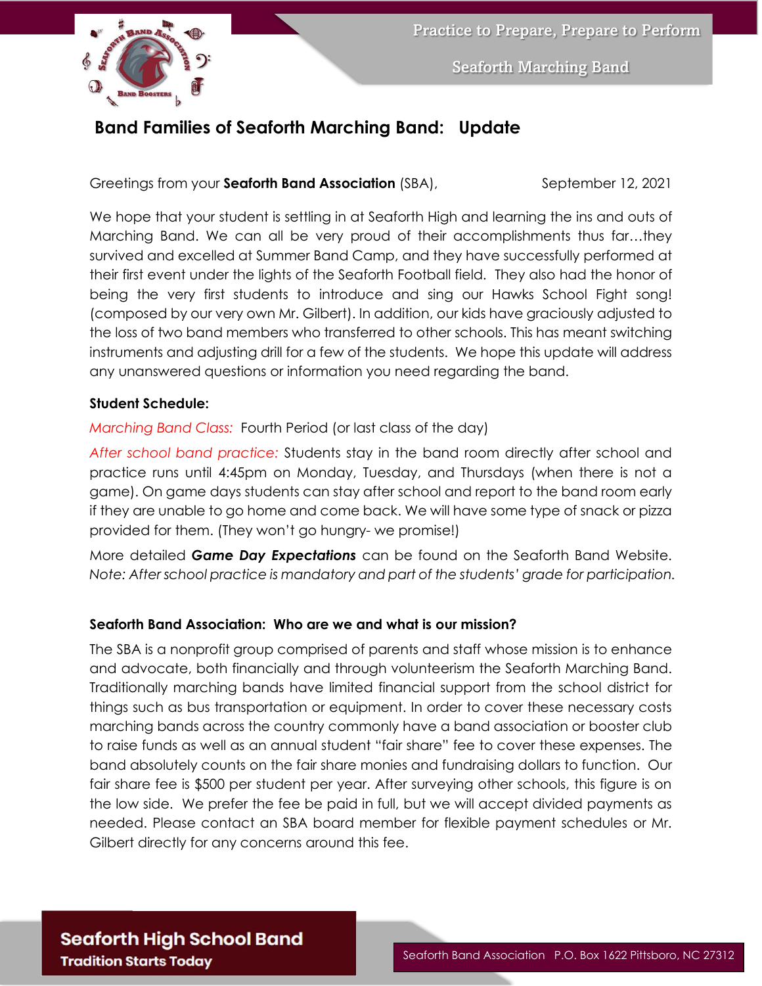

Seaforth Marching Band

## **Band Families of Seaforth Marching Band: Update**

Greetings from your **Seaforth Band Association** (SBA), September 12, 2021

We hope that your student is settling in at Seaforth High and learning the ins and outs of Marching Band. We can all be very proud of their accomplishments thus far…they survived and excelled at Summer Band Camp, and they have successfully performed at their first event under the lights of the Seaforth Football field. They also had the honor of being the very first students to introduce and sing our Hawks School Fight song! (composed by our very own Mr. Gilbert). In addition, our kids have graciously adjusted to the loss of two band members who transferred to other schools. This has meant switching instruments and adjusting drill for a few of the students. We hope this update will address any unanswered questions or information you need regarding the band.

#### **Student Schedule:**

*Marching Band Class:* Fourth Period (or last class of the day)

*After school band practice:* Students stay in the band room directly after school and practice runs until 4:45pm on Monday, Tuesday, and Thursdays (when there is not a game). On game days students can stay after school and report to the band room early if they are unable to go home and come back. We will have some type of snack or pizza provided for them. (They won't go hungry- we promise!)

More detailed *Game Day Expectations* can be found on the Seaforth Band Website. *Note: After school practice is mandatory and part of the students' grade for participation.*

#### **Seaforth Band Association: Who are we and what is our mission?**

The SBA is a nonprofit group comprised of parents and staff whose mission is to enhance and advocate, both financially and through volunteerism the Seaforth Marching Band. Traditionally marching bands have limited financial support from the school district for things such as bus transportation or equipment. In order to cover these necessary costs marching bands across the country commonly have a band association or booster club to raise funds as well as an annual student "fair share" fee to cover these expenses. The band absolutely counts on the fair share monies and fundraising dollars to function. Our fair share fee is \$500 per student per year. After surveying other schools, this figure is on the low side. We prefer the fee be paid in full, but we will accept divided payments as needed. Please contact an SBA board member for flexible payment schedules or Mr. Gilbert directly for any concerns around this fee.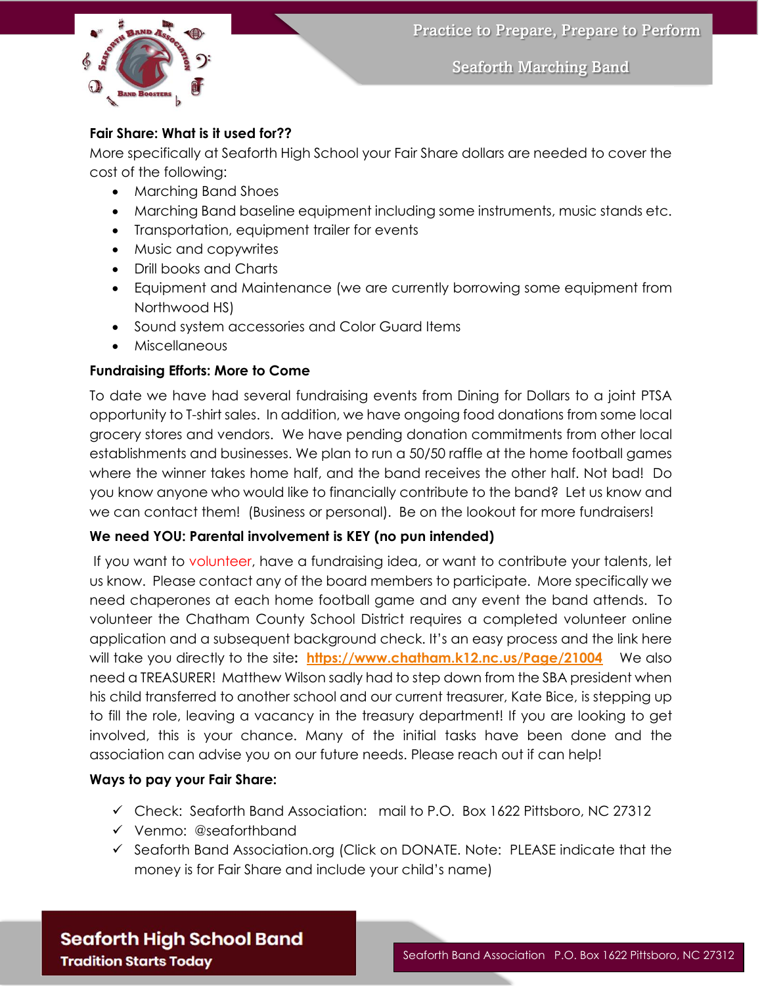

Seaforth Marching Band

### **Fair Share: What is it used for??**

More specifically at Seaforth High School your Fair Share dollars are needed to cover the cost of the following:

- Marching Band Shoes
- Marching Band baseline equipment including some instruments, music stands etc.
- Transportation, equipment trailer for events
- Music and copywrites
- Drill books and Charts
- Equipment and Maintenance (we are currently borrowing some equipment from Northwood HS)
- Sound system accessories and Color Guard Items
- Miscellaneous

#### **Fundraising Efforts: More to Come**

To date we have had several fundraising events from Dining for Dollars to a joint PTSA opportunity to T-shirt sales. In addition, we have ongoing food donations from some local grocery stores and vendors. We have pending donation commitments from other local establishments and businesses. We plan to run a 50/50 raffle at the home football games where the winner takes home half, and the band receives the other half. Not bad! Do you know anyone who would like to financially contribute to the band? Let us know and we can contact them! (Business or personal). Be on the lookout for more fundraisers!

#### **We need YOU: Parental involvement is KEY (no pun intended)**

If you want to volunteer, have a fundraising idea, or want to contribute your talents, let us know. Please contact any of the board members to participate. More specifically we need chaperones at each home football game and any event the band attends. To volunteer the Chatham County School District requires a completed volunteer online application and a subsequent background check. It's an easy process and the link here will take you directly to the site**: <https://www.chatham.k12.nc.us/Page/21004>**We also need a TREASURER! Matthew Wilson sadly had to step down from the SBA president when his child transferred to another school and our current treasurer, Kate Bice, is stepping up to fill the role, leaving a vacancy in the treasury department! If you are looking to get involved, this is your chance. Many of the initial tasks have been done and the association can advise you on our future needs. Please reach out if can help!

#### **Ways to pay your Fair Share:**

- $\checkmark$  Check: Seaforth Band Association: mail to P.O. Box 1622 Pittsboro, NC 27312
- ✓ Venmo: @seaforthband
- ✓ Seaforth Band Association.org (Click on DONATE. Note: PLEASE indicate that the money is for Fair Share and include your child's name)

# **Seaforth High School Band Tradition Starts Today**